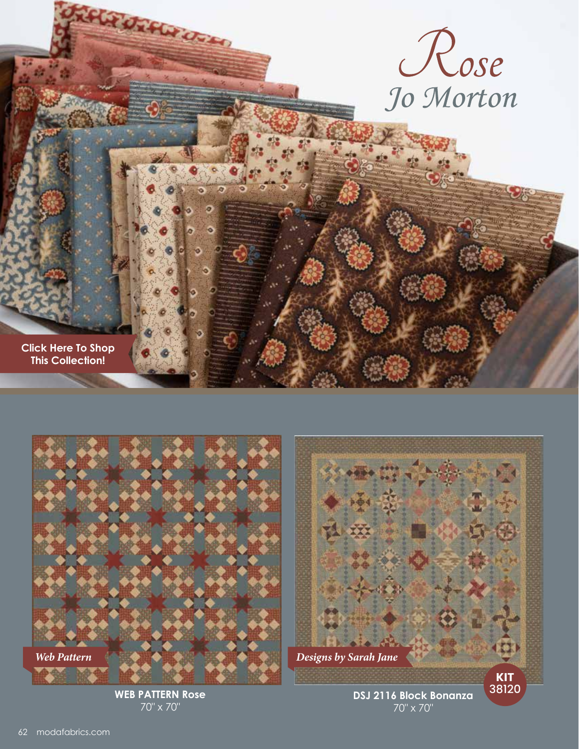







**WEB PATTERN Rose** 70" x 70"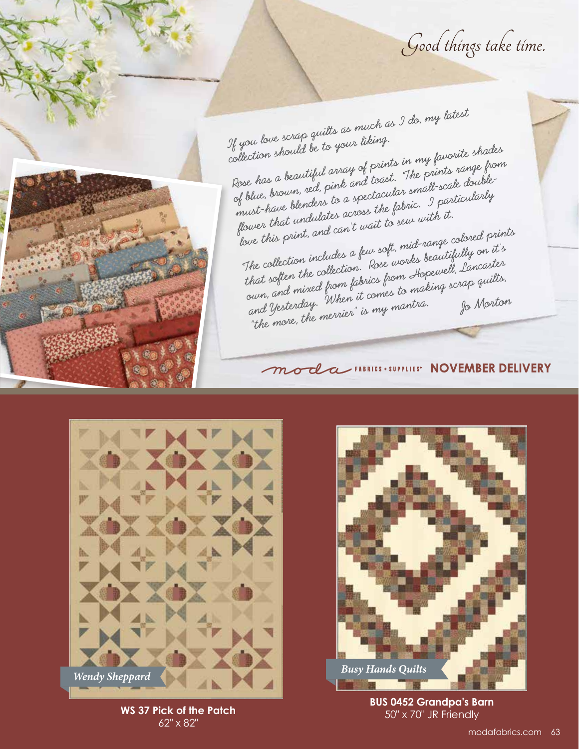Good things take time.

If you love scrap quilts as much as I do, my latest collection should be to your liking. Rose has a beautiful array of prints in my favorite shades of blue, brown, red, pink and toast. The prints range from must-have blenders to a spectacular small-scale doubleflower that undulates across the fabric. I particularly love this print, and can't wait to sew with it. The collection includes a few soft, mid-range colored prints that soften the collection. Rose works beautifully on it's own, and mixed from fabrics from Hopewell, Lancaster<br>and Yesterday. When it comes to making scrap quilts,<br>"the more, the merrier" is my mantra. Jo Morton hat soften the concern fabrics from Aspea Co.<br>Surn, and mixed from fabrics from making scrap quilts,<br>and Yesterday. When it comes to matra. Jo Morton and Yesterday. "When a community of Morton"<br>"the more, the merrier" is my mantra. Jo Morton

## *Moda* FABRICS · SUPPLIES' NOVEMBER DELIVERY



**WS 37 Pick of the Patch** 62" x 82"



**BUS 0452 Grandpa's Barn** 50" x 70" JR Friendly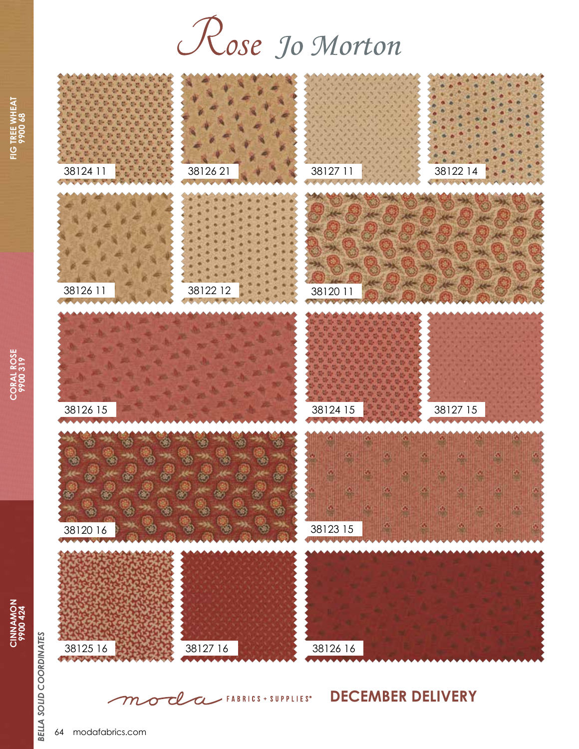## Rose Jo Morton